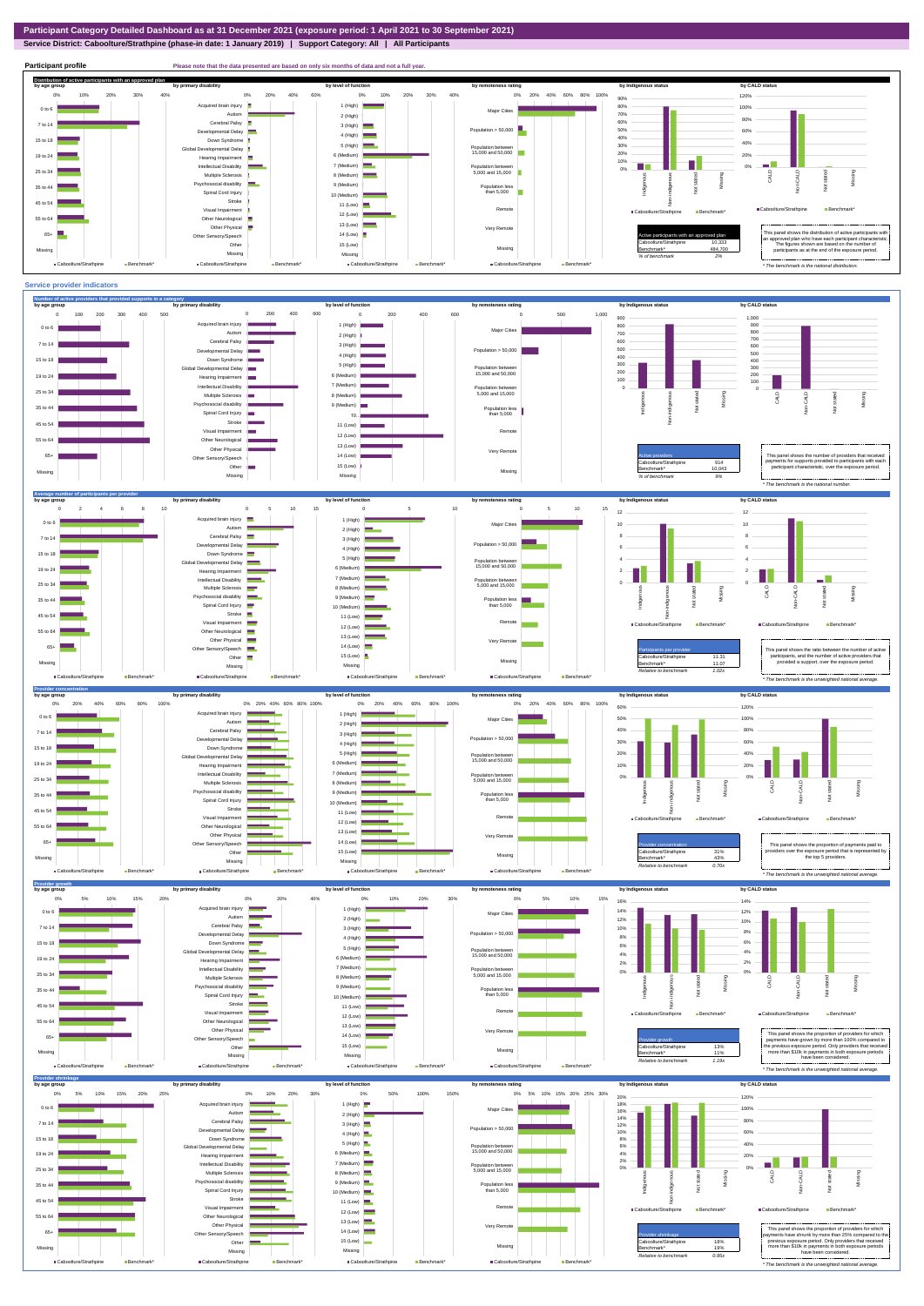**Service District: Caboolture/Strathpine (phase-in date: 1 January 2019) | Support Category: All | All Participants**



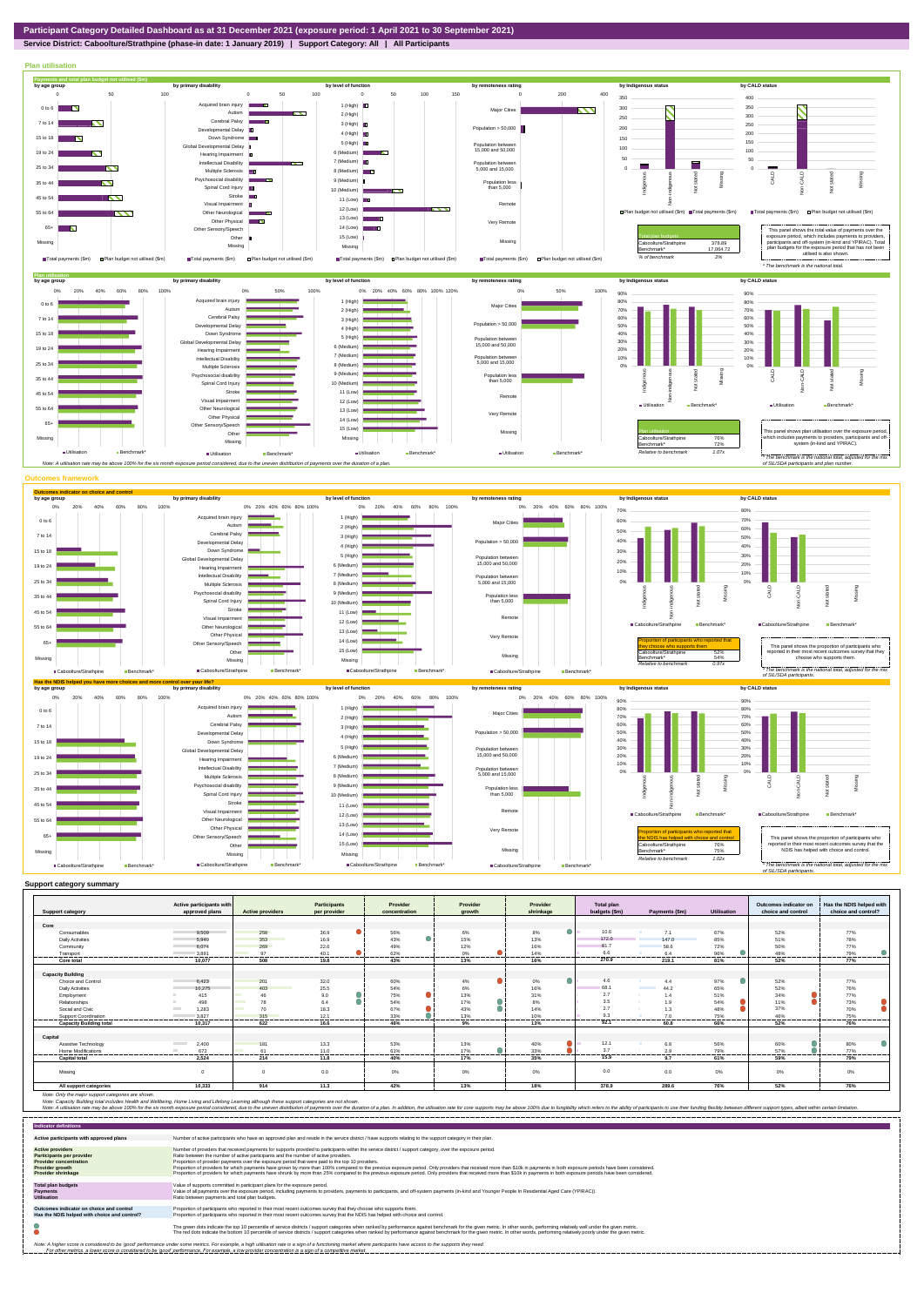**Service District: Caboolture/Strathpine (phase-in date: 1 January 2019) | Support Category: All | All Participants**



| approved plans<br><b>Active providers</b><br>per provider<br>budgets (\$m)<br>choice and control<br>shrinkage<br>Payments (\$m)<br><b>Utilisation</b><br><b>Support category</b><br>concentration<br>arowth<br>Core<br>10.6<br>258<br>36.9<br>9.509<br>56%<br>6%<br>8%<br>7.1<br>52%<br>Consumables<br>67%<br>172.0<br>353<br>16.9<br>43%<br>15%<br>13%<br>85%<br>51%<br><b>Daily Activities</b><br>5.949<br>147.0<br>81.7<br>269<br>22.6<br>49%<br>12%<br>16%<br>72%<br>50%<br>58.6<br>6.074<br>Community<br>6.6<br>97<br>96%<br>3.891<br>40.1<br>62%<br>0%<br>14%<br>48%<br>6.4<br>Transport<br><br>----------<br>----------<br><br>270.9<br>.<br><br>-------<br>---------<br>10.077<br>508<br>19.8<br>43%<br>13%<br>16%<br>219.1<br>81%<br>52%<br>Core total<br><b>Capacity Building</b><br>4.6<br>32.0<br>0%<br>97%<br>Choice and Control<br>6.423<br>201<br>60%<br>4%<br>4.4<br>52%<br>68.1<br>25.5<br>52%<br>6%<br>16%<br>65%<br>403<br>54%<br><b>Daily Activities</b><br>10,275<br>44.2<br><b>The Common</b><br>75%<br>13%<br>2.7<br>31%<br>34%<br>9.0<br>415<br>51%<br>Employment<br>46<br>1.4<br>3.5<br>498<br>54%<br>17%<br>8%<br>11%<br>78<br>54%<br>Relationships<br>64<br>1.9<br>2.7<br>37%<br>43%<br>14%<br>48%<br>Social and Civic<br>1,283<br>70<br>18.3<br>67%<br><b>Contract</b><br>1.3<br>33%<br>10%<br>75%<br>46%<br>3.827<br>12.1<br>13%<br>9.3<br>315<br>70<br>Support Coordination<br>------------<br><br>----------<br><br>---------<br>----------<br><br><br><br>.<br><b>Capacity Building total</b><br>13%<br>92.1<br>52%<br>10.317<br>622<br>46%<br>9%<br>16.6<br>60.8<br>66%<br>Capital<br>12.1<br>13.3<br>53%<br>56%<br>Assistive Technology<br><b>Contract Contract</b><br>2.400<br>13%<br>40%<br>6.8<br>60%<br>181<br>3.7<br>672<br>17%<br>33%<br>79%<br>57%<br>11.0<br>61%<br>Home Modifications<br>61<br>2.9<br>-------<br>-------<br>.<br>15.9<br>2.524<br>35%<br>59%<br>214<br>40%<br>17%<br>9.7<br><b>Capital total</b><br>11.8<br>61%<br>0.0<br>0%<br>$\Omega$ | <b>Total plan</b><br>Outcomes indicator on<br>Has the NDIS helped with<br>Provider | Provider | Provider | <b>Participants</b> | Active participants with |         |
|-----------------------------------------------------------------------------------------------------------------------------------------------------------------------------------------------------------------------------------------------------------------------------------------------------------------------------------------------------------------------------------------------------------------------------------------------------------------------------------------------------------------------------------------------------------------------------------------------------------------------------------------------------------------------------------------------------------------------------------------------------------------------------------------------------------------------------------------------------------------------------------------------------------------------------------------------------------------------------------------------------------------------------------------------------------------------------------------------------------------------------------------------------------------------------------------------------------------------------------------------------------------------------------------------------------------------------------------------------------------------------------------------------------------------------------------------------------------------------------------------------------------------------------------------------------------------------------------------------------------------------------------------------------------------------------------------------------------------------------------------------------------------------------------------------------------------------------------------------------------------------------------------------------------------------------------------------------------------------------------------------|------------------------------------------------------------------------------------|----------|----------|---------------------|--------------------------|---------|
|                                                                                                                                                                                                                                                                                                                                                                                                                                                                                                                                                                                                                                                                                                                                                                                                                                                                                                                                                                                                                                                                                                                                                                                                                                                                                                                                                                                                                                                                                                                                                                                                                                                                                                                                                                                                                                                                                                                                                                                                     | choice and control?                                                                |          |          |                     |                          |         |
|                                                                                                                                                                                                                                                                                                                                                                                                                                                                                                                                                                                                                                                                                                                                                                                                                                                                                                                                                                                                                                                                                                                                                                                                                                                                                                                                                                                                                                                                                                                                                                                                                                                                                                                                                                                                                                                                                                                                                                                                     |                                                                                    |          |          |                     |                          |         |
|                                                                                                                                                                                                                                                                                                                                                                                                                                                                                                                                                                                                                                                                                                                                                                                                                                                                                                                                                                                                                                                                                                                                                                                                                                                                                                                                                                                                                                                                                                                                                                                                                                                                                                                                                                                                                                                                                                                                                                                                     |                                                                                    |          |          |                     |                          |         |
|                                                                                                                                                                                                                                                                                                                                                                                                                                                                                                                                                                                                                                                                                                                                                                                                                                                                                                                                                                                                                                                                                                                                                                                                                                                                                                                                                                                                                                                                                                                                                                                                                                                                                                                                                                                                                                                                                                                                                                                                     | 77%                                                                                |          |          |                     |                          |         |
|                                                                                                                                                                                                                                                                                                                                                                                                                                                                                                                                                                                                                                                                                                                                                                                                                                                                                                                                                                                                                                                                                                                                                                                                                                                                                                                                                                                                                                                                                                                                                                                                                                                                                                                                                                                                                                                                                                                                                                                                     | 78%                                                                                |          |          |                     |                          |         |
|                                                                                                                                                                                                                                                                                                                                                                                                                                                                                                                                                                                                                                                                                                                                                                                                                                                                                                                                                                                                                                                                                                                                                                                                                                                                                                                                                                                                                                                                                                                                                                                                                                                                                                                                                                                                                                                                                                                                                                                                     | 77%                                                                                |          |          |                     |                          |         |
|                                                                                                                                                                                                                                                                                                                                                                                                                                                                                                                                                                                                                                                                                                                                                                                                                                                                                                                                                                                                                                                                                                                                                                                                                                                                                                                                                                                                                                                                                                                                                                                                                                                                                                                                                                                                                                                                                                                                                                                                     | 79%<br>.                                                                           |          |          |                     |                          |         |
|                                                                                                                                                                                                                                                                                                                                                                                                                                                                                                                                                                                                                                                                                                                                                                                                                                                                                                                                                                                                                                                                                                                                                                                                                                                                                                                                                                                                                                                                                                                                                                                                                                                                                                                                                                                                                                                                                                                                                                                                     | 77%                                                                                |          |          |                     |                          |         |
|                                                                                                                                                                                                                                                                                                                                                                                                                                                                                                                                                                                                                                                                                                                                                                                                                                                                                                                                                                                                                                                                                                                                                                                                                                                                                                                                                                                                                                                                                                                                                                                                                                                                                                                                                                                                                                                                                                                                                                                                     |                                                                                    |          |          |                     |                          |         |
|                                                                                                                                                                                                                                                                                                                                                                                                                                                                                                                                                                                                                                                                                                                                                                                                                                                                                                                                                                                                                                                                                                                                                                                                                                                                                                                                                                                                                                                                                                                                                                                                                                                                                                                                                                                                                                                                                                                                                                                                     |                                                                                    |          |          |                     |                          |         |
|                                                                                                                                                                                                                                                                                                                                                                                                                                                                                                                                                                                                                                                                                                                                                                                                                                                                                                                                                                                                                                                                                                                                                                                                                                                                                                                                                                                                                                                                                                                                                                                                                                                                                                                                                                                                                                                                                                                                                                                                     | 77%                                                                                |          |          |                     |                          |         |
|                                                                                                                                                                                                                                                                                                                                                                                                                                                                                                                                                                                                                                                                                                                                                                                                                                                                                                                                                                                                                                                                                                                                                                                                                                                                                                                                                                                                                                                                                                                                                                                                                                                                                                                                                                                                                                                                                                                                                                                                     | 76%                                                                                |          |          |                     |                          |         |
|                                                                                                                                                                                                                                                                                                                                                                                                                                                                                                                                                                                                                                                                                                                                                                                                                                                                                                                                                                                                                                                                                                                                                                                                                                                                                                                                                                                                                                                                                                                                                                                                                                                                                                                                                                                                                                                                                                                                                                                                     | 77%                                                                                |          |          |                     |                          |         |
|                                                                                                                                                                                                                                                                                                                                                                                                                                                                                                                                                                                                                                                                                                                                                                                                                                                                                                                                                                                                                                                                                                                                                                                                                                                                                                                                                                                                                                                                                                                                                                                                                                                                                                                                                                                                                                                                                                                                                                                                     | 73%                                                                                |          |          |                     |                          |         |
|                                                                                                                                                                                                                                                                                                                                                                                                                                                                                                                                                                                                                                                                                                                                                                                                                                                                                                                                                                                                                                                                                                                                                                                                                                                                                                                                                                                                                                                                                                                                                                                                                                                                                                                                                                                                                                                                                                                                                                                                     | 70%                                                                                |          |          |                     |                          |         |
|                                                                                                                                                                                                                                                                                                                                                                                                                                                                                                                                                                                                                                                                                                                                                                                                                                                                                                                                                                                                                                                                                                                                                                                                                                                                                                                                                                                                                                                                                                                                                                                                                                                                                                                                                                                                                                                                                                                                                                                                     | 75%<br>                                                                            |          |          |                     |                          |         |
|                                                                                                                                                                                                                                                                                                                                                                                                                                                                                                                                                                                                                                                                                                                                                                                                                                                                                                                                                                                                                                                                                                                                                                                                                                                                                                                                                                                                                                                                                                                                                                                                                                                                                                                                                                                                                                                                                                                                                                                                     | 76%                                                                                |          |          |                     |                          |         |
|                                                                                                                                                                                                                                                                                                                                                                                                                                                                                                                                                                                                                                                                                                                                                                                                                                                                                                                                                                                                                                                                                                                                                                                                                                                                                                                                                                                                                                                                                                                                                                                                                                                                                                                                                                                                                                                                                                                                                                                                     |                                                                                    |          |          |                     |                          |         |
|                                                                                                                                                                                                                                                                                                                                                                                                                                                                                                                                                                                                                                                                                                                                                                                                                                                                                                                                                                                                                                                                                                                                                                                                                                                                                                                                                                                                                                                                                                                                                                                                                                                                                                                                                                                                                                                                                                                                                                                                     | 80%                                                                                |          |          |                     |                          |         |
|                                                                                                                                                                                                                                                                                                                                                                                                                                                                                                                                                                                                                                                                                                                                                                                                                                                                                                                                                                                                                                                                                                                                                                                                                                                                                                                                                                                                                                                                                                                                                                                                                                                                                                                                                                                                                                                                                                                                                                                                     | 77%                                                                                |          |          |                     |                          |         |
|                                                                                                                                                                                                                                                                                                                                                                                                                                                                                                                                                                                                                                                                                                                                                                                                                                                                                                                                                                                                                                                                                                                                                                                                                                                                                                                                                                                                                                                                                                                                                                                                                                                                                                                                                                                                                                                                                                                                                                                                     | 79%                                                                                |          |          |                     |                          |         |
|                                                                                                                                                                                                                                                                                                                                                                                                                                                                                                                                                                                                                                                                                                                                                                                                                                                                                                                                                                                                                                                                                                                                                                                                                                                                                                                                                                                                                                                                                                                                                                                                                                                                                                                                                                                                                                                                                                                                                                                                     |                                                                                    |          |          |                     |                          |         |
|                                                                                                                                                                                                                                                                                                                                                                                                                                                                                                                                                                                                                                                                                                                                                                                                                                                                                                                                                                                                                                                                                                                                                                                                                                                                                                                                                                                                                                                                                                                                                                                                                                                                                                                                                                                                                                                                                                                                                                                                     | 0.0<br>0%<br>0%<br>0%                                                              | 0%       | 0%       | 0.0                 |                          | Missing |
| 378.9<br>10,333<br>914<br>11.3<br>42%<br>13%<br>18%<br>289.6<br>76%<br>52%<br>All support categories                                                                                                                                                                                                                                                                                                                                                                                                                                                                                                                                                                                                                                                                                                                                                                                                                                                                                                                                                                                                                                                                                                                                                                                                                                                                                                                                                                                                                                                                                                                                                                                                                                                                                                                                                                                                                                                                                                | 76%                                                                                |          |          |                     |                          |         |

Note: Only the major support categories are shown.<br>Note: Capacity Building total individual Wellbeing, Home Living and Lifelong Learning although these support categories are not shown.<br>Note: A utilisation rate may be abov

| <b>Indicator definitions</b>                                                                                                                                                                                                                                                                                                                                              |                                                                                                                                                                                                                                                                                                                                                                                                                                                                                                                                                                                                                                                                                                                                                                                                                 |  |  |  |  |  |
|---------------------------------------------------------------------------------------------------------------------------------------------------------------------------------------------------------------------------------------------------------------------------------------------------------------------------------------------------------------------------|-----------------------------------------------------------------------------------------------------------------------------------------------------------------------------------------------------------------------------------------------------------------------------------------------------------------------------------------------------------------------------------------------------------------------------------------------------------------------------------------------------------------------------------------------------------------------------------------------------------------------------------------------------------------------------------------------------------------------------------------------------------------------------------------------------------------|--|--|--|--|--|
| Active participants with approved plans                                                                                                                                                                                                                                                                                                                                   | Number of active participants who have an approved plan and reside in the service district / have supports relating to the support category in their plan.                                                                                                                                                                                                                                                                                                                                                                                                                                                                                                                                                                                                                                                      |  |  |  |  |  |
| <b>Active providers</b><br><b>Participants per provider</b><br><b>Provider concentration</b><br><b>Provider growth</b><br><b>Provider shrinkage</b>                                                                                                                                                                                                                       | Number of providers that received payments for supports provided to participants within the service district / support category, over the exposure period.<br>Ratio between the number of active participants and the number of active providers.<br>Proportion of provider payments over the exposure period that were paid to the top 10 providers.<br>Proportion of providers for which payments have grown by more than 100% compared to the previous exposure period. Only providers that received more than \$10k in payments in both exposure periods have been considered.<br>Proportion of providers for which payments have shrunk by more than 25% compared to the previous exposure period. Only providers that received more than \$10k in payments in both exposure periods have been considered. |  |  |  |  |  |
| <b>Total plan budgets</b><br><b>Payments</b><br><b>Utilisation</b>                                                                                                                                                                                                                                                                                                        | Value of supports committed in participant plans for the exposure period.<br>Value of all payments over the exposure period, including payments to providers, payments to participants, and off-system payments (in-kind and Younger People In Residential Aged Care (YPIRAC)).<br>Ratio between payments and total plan budgets.                                                                                                                                                                                                                                                                                                                                                                                                                                                                               |  |  |  |  |  |
| Outcomes indicator on choice and control<br>Has the NDIS helped with choice and control?                                                                                                                                                                                                                                                                                  | Proportion of participants who reported in their most recent outcomes survey that they choose who supports them.<br>Proportion of participants who reported in their most recent outcomes survey that the NDIS has helped with choice and control.                                                                                                                                                                                                                                                                                                                                                                                                                                                                                                                                                              |  |  |  |  |  |
|                                                                                                                                                                                                                                                                                                                                                                           | The green dots indicate the top 10 percentile of service districts / support categories when ranked by performance against benchmark for the given metric. In other words, performing relatively well under the given metric.<br>The red dots indicate the bottom 10 percentile of service districts / support categories when ranked by performance against benchmark for the given metric. In other words, performing relatively poorly under the given metri                                                                                                                                                                                                                                                                                                                                                 |  |  |  |  |  |
| Note: A higher score is considered to be 'good' performance under some metrics. For example, a high utilisation rate is a sign of a functioning market where participants have access to the supports they need.<br>For other metrics, a lower score is considered to be 'good' performance. For example, a low provider concentration is a sign of a competitive market. |                                                                                                                                                                                                                                                                                                                                                                                                                                                                                                                                                                                                                                                                                                                                                                                                                 |  |  |  |  |  |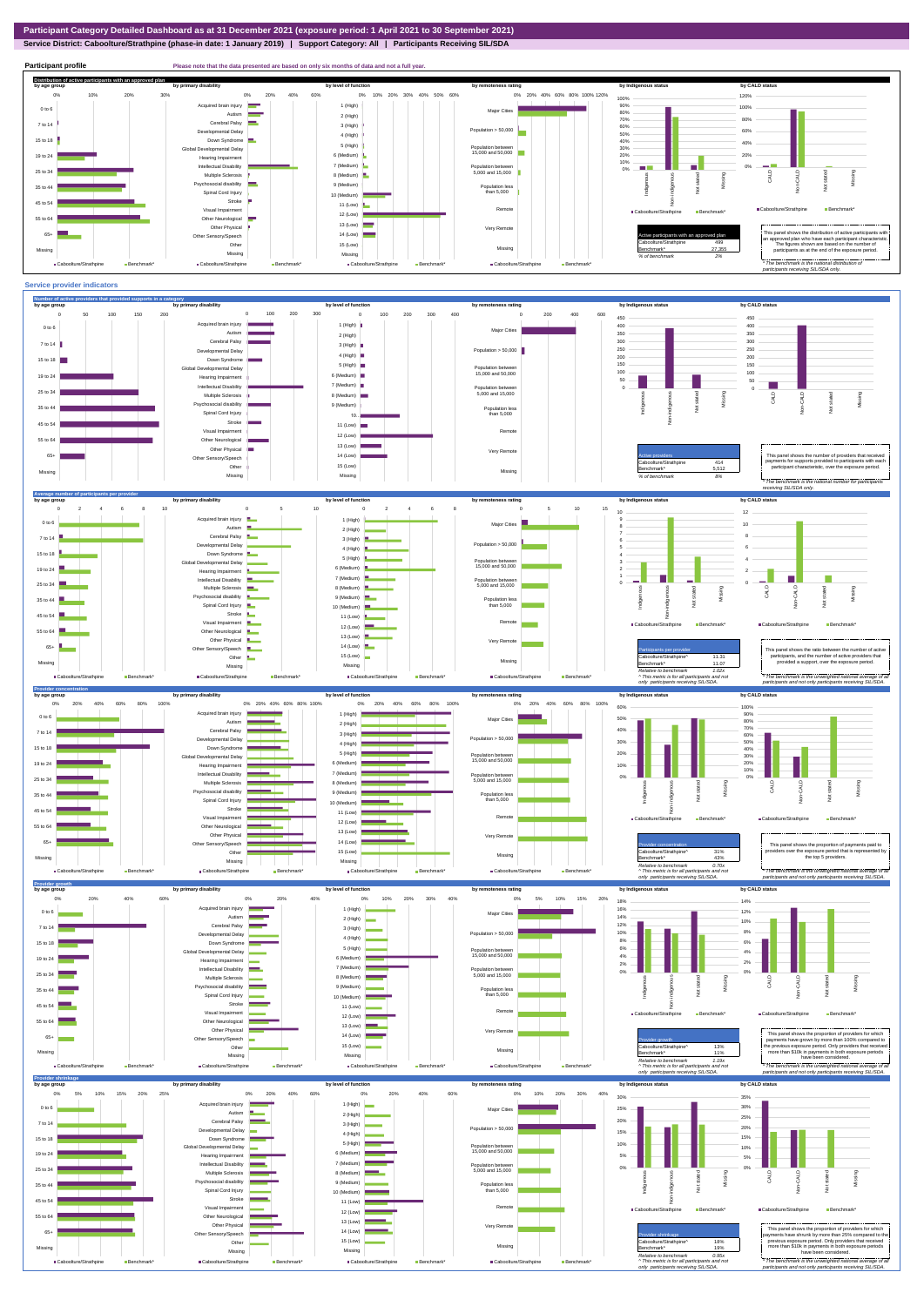**Service District: Caboolture/Strathpine (phase-in date: 1 January 2019) | Support Category: All | Participants Receiving SIL/SDA**



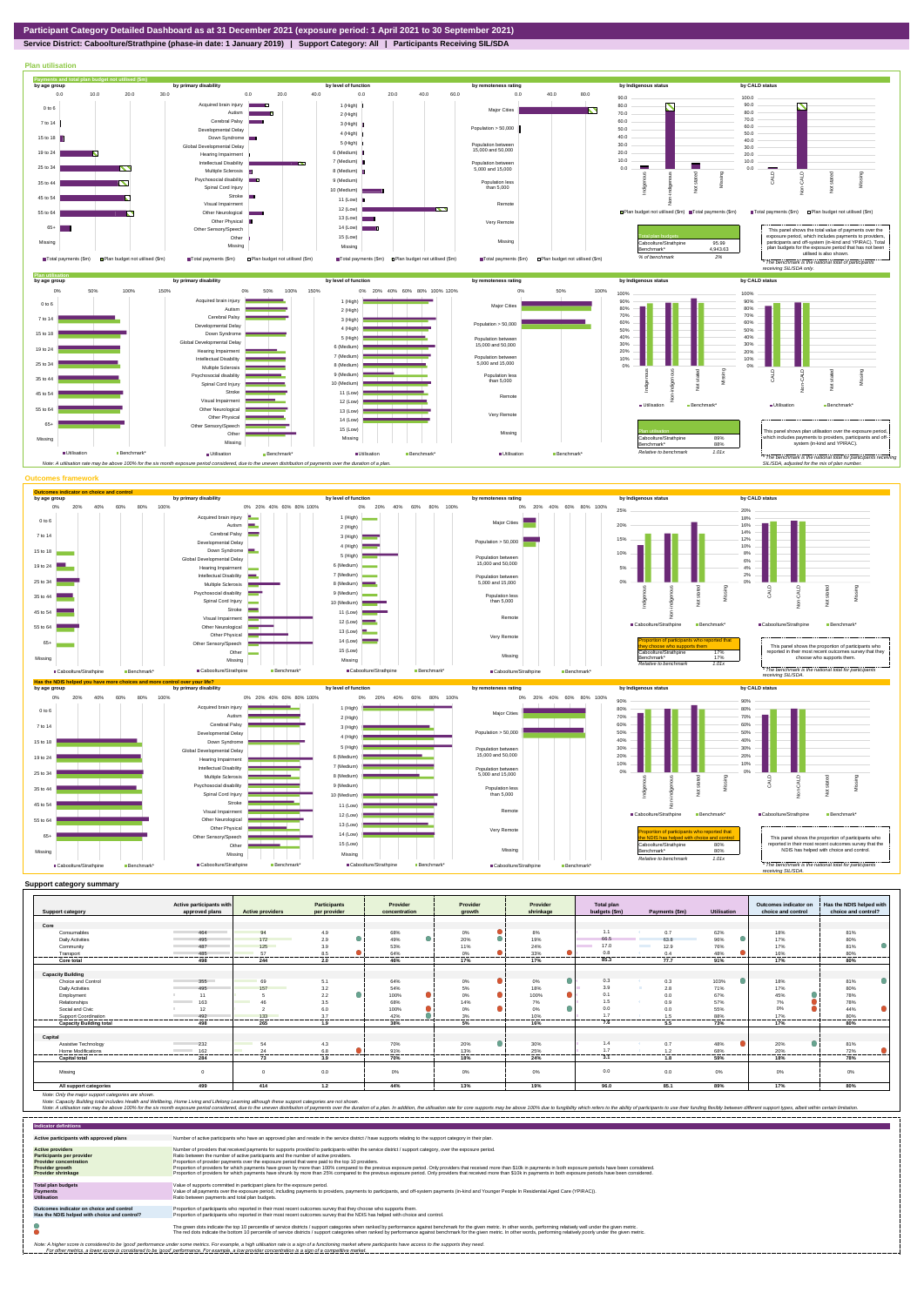**Service District: Caboolture/Strathpine (phase-in date: 1 January 2019) | Support Category: All | Participants Receiving SIL/SDA**



|                                | Active participants with        |                         | <b>Participants</b>   | Provider         | Provider             | Provider                     | Total plan       |                                  |                    | Outcomes indicator on | Has the NDIS helped with |
|--------------------------------|---------------------------------|-------------------------|-----------------------|------------------|----------------------|------------------------------|------------------|----------------------------------|--------------------|-----------------------|--------------------------|
| <b>Support category</b>        | approved plans                  | <b>Active providers</b> | per provider          | concentration    | growth               | shrinkage                    | budgets (\$m)    | Payments (\$m)                   | <b>Utilisation</b> | choice and control    | choice and control?      |
| Core                           |                                 |                         |                       |                  |                      |                              |                  |                                  |                    |                       |                          |
| Consumables                    | 464                             | 94                      | 4.9                   | 68%              | 0%                   | 8%                           | 1.1              | 0.7                              | 62%                | 18%                   | 81%                      |
| <b>Daily Activities</b>        |                                 | 172                     | 2.9                   | 49%              | 20%                  | 19%                          | 66.5             |                                  |                    | 17%                   |                          |
|                                | 495                             |                         |                       |                  |                      |                              | 17.0             | 63.8<br><b>Contract Contract</b> | 96%                |                       | 80%                      |
| Community                      | 487                             | 125                     | 3.9                   | 53%              | 11%                  | 24%<br>≏                     |                  | 12.9                             | 76%                | 17%                   | 81%                      |
| Transport<br>----------        | 485<br>-------------------      | 57<br>.                 | 8.5<br>----------<br> | 64%<br>--------- | 0%<br>---------<br>. | 33%<br>----------<br>------- | 0.8<br>--------- | 0.4<br>                          | 48%<br>            | 16%<br>.              | 80%<br>-----------       |
| Core total                     | 498                             | 244                     | 2.0                   | 46%              | 17%                  | 17%                          | 85.3             | 77.7                             | 91%                | 17%                   | 80%                      |
|                                |                                 |                         |                       |                  |                      |                              |                  |                                  |                    |                       |                          |
| <b>Capacity Building</b>       |                                 |                         |                       |                  |                      |                              |                  |                                  |                    |                       |                          |
| Choice and Control             | 355                             | 69                      | 5.1                   | 64%              | $0\%$                | 0%                           | 0.3              | 0.3                              | 103%               | 18%                   | 81%                      |
| <b>Daily Activities</b>        | 495                             | 157                     | 3.2                   | 54%              | 5%                   | 18%                          | 3.9              | 2.8                              | 71%                | 17%                   | 80%                      |
| Employment                     | 11                              |                         | 2.2                   | 100%             | $\bullet$<br>0%      | $\bullet$<br>100%            | 0.1              | 0.0                              | 67%                | 45%                   | 78%                      |
| Relationships                  | 163                             | 46                      | 3.5                   | 68%              | 14%                  | 7%                           | 1.5              | 0.9                              | 57%                | 7%                    | 78%                      |
| Social and Civic               | 12                              |                         | 6.0                   | 100%             | 0%                   | ●<br>0%                      | 0.0              | 0.0                              | 55%                | 0%                    | 44%                      |
| Support Coordination           | 492<br>--------                 | 133                     | 3.7<br>------         | 42%              | 3%                   | 10%                          | 17               | 1.5                              | 88%                | 17%                   | 80%                      |
| <b>Capacity Building total</b> | 498                             | 265                     | 1.9                   | 38%              | 5%                   | 16%                          | 7.6              | 5.5                              | 73%                | 17%                   | 80%                      |
|                                |                                 |                         |                       |                  |                      |                              |                  |                                  |                    |                       |                          |
| Capital                        |                                 |                         |                       |                  |                      |                              |                  |                                  |                    |                       |                          |
| Assistive Technology           | 232                             | 54                      | 4.3                   | 70%              | 20%                  | 30%                          | 1.4              | 0.7                              | 48%                | 20%                   | 81%                      |
| <b>Home Modifications</b>      | 162<br><b>Contract Contract</b> | 24                      | 6.8                   | 91%              | 13%                  | 25%                          | 17               | 1.2                              | 68%                | 20%                   | 72%                      |
| <b>Capital total</b>           | 284                             | 73                      | 3.9                   | 70%              | 18%                  | 24%                          | 3.1              | 1.8                              | 59%                | 18%                   | 78%                      |
|                                |                                 |                         |                       |                  |                      |                              |                  |                                  |                    |                       |                          |
| Missing                        | $\Omega$                        | $\Omega$                | 0.0                   | 0%               | 0%                   | 0%                           | 0.0              | 0.0                              | 0%                 | 0%                    | 0%                       |
|                                |                                 |                         |                       |                  |                      |                              |                  |                                  |                    |                       |                          |
| All support categories         | 499                             | 414                     | 1.2                   | 44%              | 13%                  | 19%                          | 96.0             | 85.1                             | 89%                | 17%                   | 80%                      |

Note: Only the major support categories are shown.<br>Note: Capacity Building total individual Wellbeing, Home Living and Lifelong Learning although these support categories are not shown.<br>Note: A utilisation rate may be abov

| <b>Indicator definitions</b>                                                                                                                                                                                                                                                                                                                                              |                                                                                                                                                                                                                                                                                                                                                                                                                                                                                                                                                                                                                                                                                                                                                                                                                 |  |  |  |  |  |
|---------------------------------------------------------------------------------------------------------------------------------------------------------------------------------------------------------------------------------------------------------------------------------------------------------------------------------------------------------------------------|-----------------------------------------------------------------------------------------------------------------------------------------------------------------------------------------------------------------------------------------------------------------------------------------------------------------------------------------------------------------------------------------------------------------------------------------------------------------------------------------------------------------------------------------------------------------------------------------------------------------------------------------------------------------------------------------------------------------------------------------------------------------------------------------------------------------|--|--|--|--|--|
| Active participants with approved plans                                                                                                                                                                                                                                                                                                                                   | Number of active participants who have an approved plan and reside in the service district / have supports relating to the support category in their plan.                                                                                                                                                                                                                                                                                                                                                                                                                                                                                                                                                                                                                                                      |  |  |  |  |  |
| <b>Active providers</b><br>Participants per provider<br><b>Provider concentration</b><br><b>Provider growth</b><br><b>Provider shrinkage</b>                                                                                                                                                                                                                              | Number of providers that received payments for supports provided to participants within the service district / support category, over the exposure period,<br>Ratio between the number of active participants and the number of active providers.<br>Proportion of provider payments over the exposure period that were paid to the top 10 providers.<br>Proportion of providers for which payments have grown by more than 100% compared to the previous exposure period. Only providers that received more than \$10k in payments in both exposure periods have been considered.<br>Proportion of providers for which payments have shrunk by more than 25% compared to the previous exposure period. Only providers that received more than \$10k in payments in both exposure periods have been considered. |  |  |  |  |  |
| <b>Total plan budgets</b><br><b>Payments</b><br><b>Utilisation</b>                                                                                                                                                                                                                                                                                                        | Value of supports committed in participant plans for the exposure period.<br>Value of all payments over the exposure period, including payments to providers, payments to participants, and off-system payments (in-kind and Younger People In Residential Aged Care (YPIRAC)).<br>Ratio between payments and total plan budgets.                                                                                                                                                                                                                                                                                                                                                                                                                                                                               |  |  |  |  |  |
| Outcomes indicator on choice and control<br>Has the NDIS helped with choice and control?                                                                                                                                                                                                                                                                                  | Proportion of participants who reported in their most recent outcomes survey that they choose who supports them.<br>Proportion of participants who reported in their most recent outcomes survey that the NDIS has helped with choice and control.                                                                                                                                                                                                                                                                                                                                                                                                                                                                                                                                                              |  |  |  |  |  |
|                                                                                                                                                                                                                                                                                                                                                                           | The green dots indicate the top 10 percentile of service districts / support categories when ranked by performance against benchmark for the given metric. In other words, performing relatively well under the given metric.<br>The red dots indicate the bottom 10 percentile of service districts / support categories when ranked by performance against benchmark for the given metric. In other words, performing relatively poorly under the given metri                                                                                                                                                                                                                                                                                                                                                 |  |  |  |  |  |
| Note: A higher score is considered to be 'good' performance under some metrics. For example, a high utilisation rate is a sign of a functioning market where participants have access to the supports they need.<br>For other metrics, a lower score is considered to be 'good' performance. For example, a low provider concentration is a sign of a competitive market. |                                                                                                                                                                                                                                                                                                                                                                                                                                                                                                                                                                                                                                                                                                                                                                                                                 |  |  |  |  |  |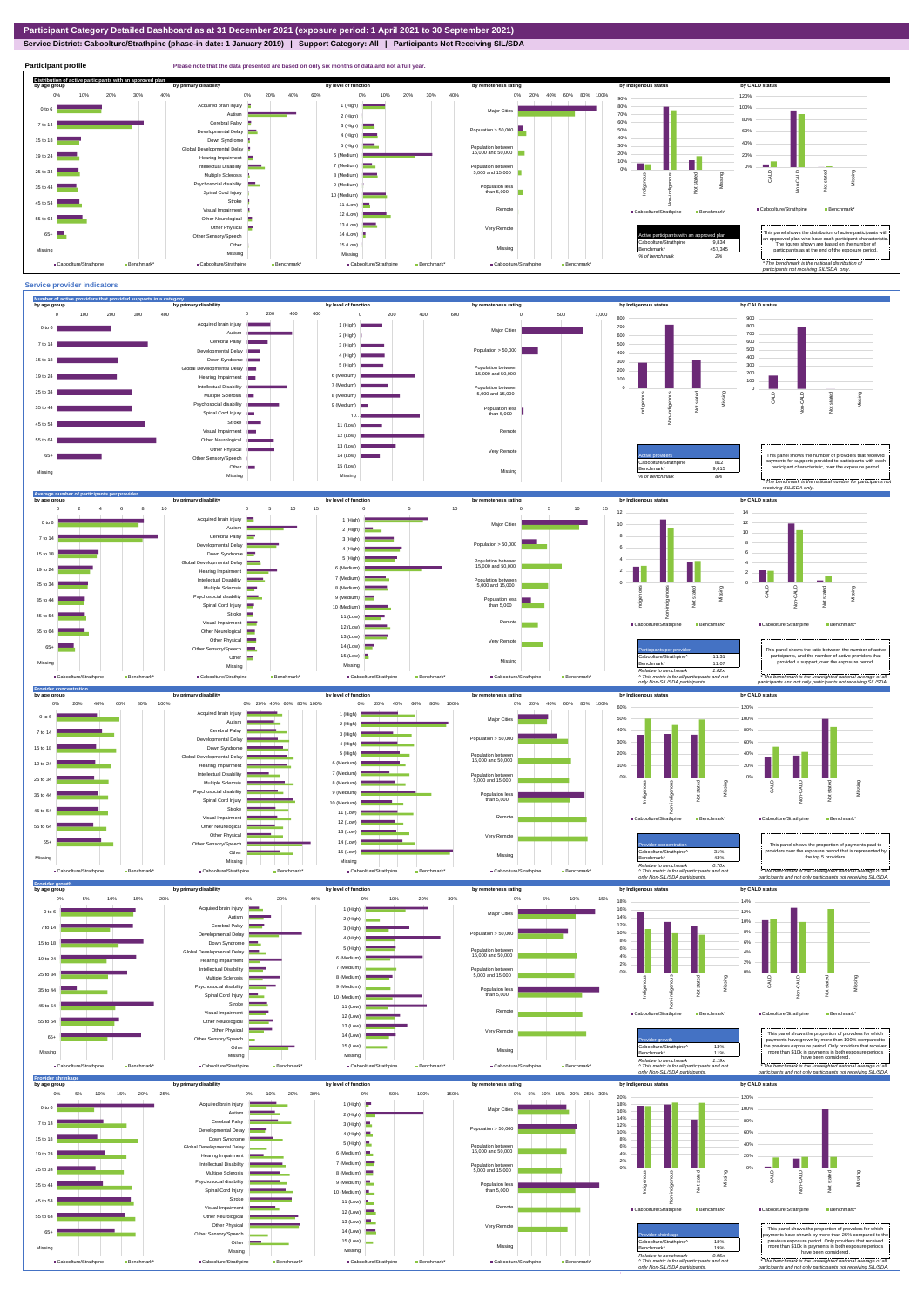**Service District: Caboolture/Strathpine (phase-in date: 1 January 2019) | Support Category: All | Participants Not Receiving SIL/SDA**